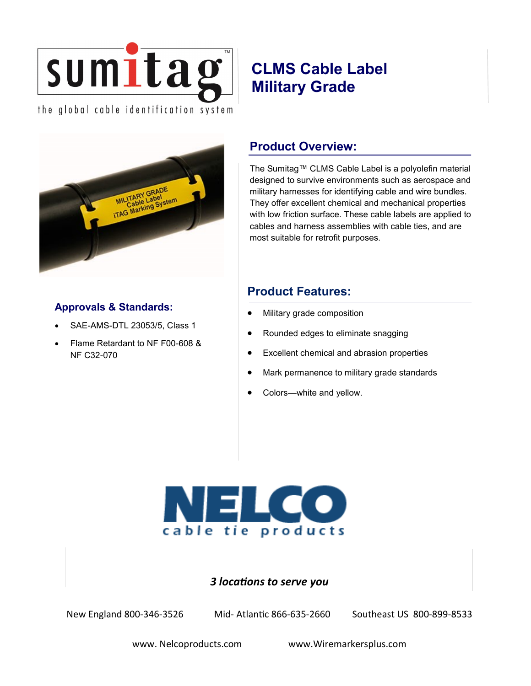

# **CLMS Cable Label Military Grade**



# **Approvals & Standards:**

- SAE-AMS-DTL 23053/5, Class 1
- Flame Retardant to NF F00-608 & NF C32-070

# **Product Overview:**

The Sumitag™ CLMS Cable Label is a polyolefin material designed to survive environments such as aerospace and military harnesses for identifying cable and wire bundles. They offer excellent chemical and mechanical properties with low friction surface. These cable labels are applied to cables and harness assemblies with cable ties, and are most suitable for retrofit purposes.

# **Product Features:**

- Military grade composition
- Rounded edges to eliminate snagging
- Excellent chemical and abrasion properties
- Mark permanence to military grade standards
- Colors—white and yellow.

# cable tie products

#### *3 locations to serve you*

New England 800-346-3526 Mid- Atlantic 866-635-2660 Southeast US 800-899-8533